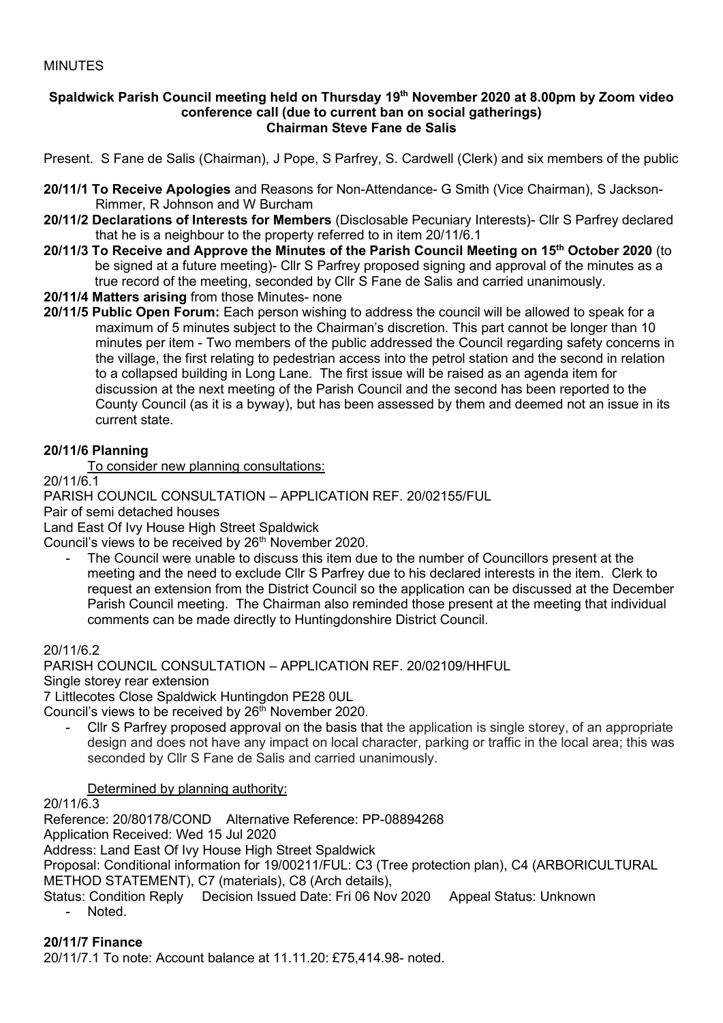## MINUTES

#### **Spaldwick Parish Council meeting held on Thursday 19 th November 2020 at 8.00pm by Zoom video conference call (due to current ban on social gatherings) Chairman Steve Fane de Salis**

Present. S Fane de Salis (Chairman), J Pope, S Parfrey, S. Cardwell (Clerk) and six members of the public

- **20/11/1 To Receive Apologies** and Reasons for Non-Attendance- G Smith (Vice Chairman), S Jackson-Rimmer, R Johnson and W Burcham
- **20/11/2 Declarations of Interests for Members** (Disclosable Pecuniary Interests)- Cllr S Parfrey declared that he is a neighbour to the property referred to in item 20/11/6.1
- **20/11/3 To Receive and Approve the Minutes of the Parish Council Meeting on 15 th October 2020** (to be signed at a future meeting)- Cllr S Parfrey proposed signing and approval of the minutes as a true record of the meeting, seconded by Cllr S Fane de Salis and carried unanimously.
- **20/11/4 Matters arising** from those Minutes- none
- **20/11/5 Public Open Forum:** Each person wishing to address the council will be allowed to speak for a maximum of 5 minutes subject to the Chairman's discretion. This part cannot be longer than 10 minutes per item - Two members of the public addressed the Council regarding safety concerns in the village, the first relating to pedestrian access into the petrol station and the second in relation to a collapsed building in Long Lane. The first issue will be raised as an agenda item for discussion at the next meeting of the Parish Council and the second has been reported to the County Council (as it is a byway), but has been assessed by them and deemed not an issue in its current state.

# **20/11/6 Planning**

To consider new planning consultations:

20/11/6.1

PARISH COUNCIL CONSULTATION – APPLICATION REF. 20/02155/FUL

Pair of semi detached houses

Land East Of Ivy House High Street Spaldwick

Council's views to be received by 26<sup>th</sup> November 2020.

The Council were unable to discuss this item due to the number of Councillors present at the meeting and the need to exclude Cllr S Parfrey due to his declared interests in the item. Clerk to request an extension from the District Council so the application can be discussed at the December Parish Council meeting. The Chairman also reminded those present at the meeting that individual comments can be made directly to Huntingdonshire District Council.

20/11/6.2

PARISH COUNCIL CONSULTATION – APPLICATION REF. 20/02109/HHFUL

Single storey rear extension

7 Littlecotes Close Spaldwick Huntingdon PE28 0UL

Council's views to be received by  $26<sup>th</sup>$  November 2020.

- Cllr S Parfrey proposed approval on the basis that the application is single storey, of an appropriate design and does not have any impact on local character, parking or traffic in the local area; this was seconded by Cllr S Fane de Salis and carried unanimously.

Determined by planning authority:

20/11/6.3

Reference: 20/80178/COND Alternative Reference: PP-08894268 Application Received: Wed 15 Jul 2020 Address: Land East Of Ivy House High Street Spaldwick Proposal: Conditional information for 19/00211/FUL: C3 (Tree protection plan), C4 (ARBORICULTURAL METHOD STATEMENT), C7 (materials), C8 (Arch details), Status: Condition Reply Decision Issued Date: Fri 06 Nov 2020 Appeal Status: Unknown - Noted.

#### **20/11/7 Finance**

20/11/7.1 To note: Account balance at 11.11.20: £75,414.98- noted.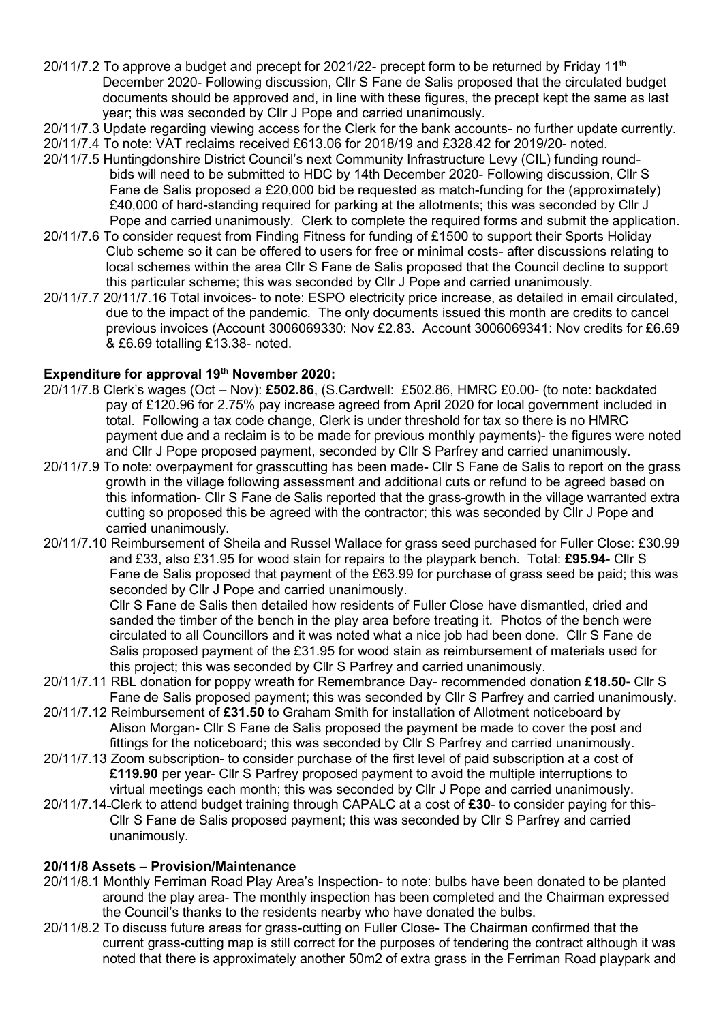- 20/11/7.2 To approve a budget and precept for 2021/22- precept form to be returned by Friday 11<sup>th</sup> December 2020- Following discussion, Cllr S Fane de Salis proposed that the circulated budget documents should be approved and, in line with these figures, the precept kept the same as last year; this was seconded by Cllr J Pope and carried unanimously.
- 20/11/7.3 Update regarding viewing access for the Clerk for the bank accounts- no further update currently.
- 20/11/7.4 To note: VAT reclaims received £613.06 for 2018/19 and £328.42 for 2019/20- noted.
- 20/11/7.5 Huntingdonshire District Council's next Community Infrastructure Levy (CIL) funding round bids will need to be submitted to HDC by 14th December 2020- Following discussion, Cllr S Fane de Salis proposed a £20,000 bid be requested as match-funding for the (approximately) £40,000 of hard-standing required for parking at the allotments; this was seconded by Cllr J Pope and carried unanimously. Clerk to complete the required forms and submit the application.
- 20/11/7.6 To consider request from Finding Fitness for funding of £1500 to support their Sports Holiday Club scheme so it can be offered to users for free or minimal costs- after discussions relating to local schemes within the area Cllr S Fane de Salis proposed that the Council decline to support this particular scheme; this was seconded by Cllr J Pope and carried unanimously.
- 20/11/7.7 20/11/7.16 Total invoices- to note: ESPO electricity price increase, as detailed in email circulated, due to the impact of the pandemic. The only documents issued this month are credits to cancel previous invoices (Account 3006069330: Nov £2.83. Account 3006069341: Nov credits for £6.69 & £6.69 totalling £13.38- noted.

# **Expenditure for approval 19 th November 2020:**

- 20/11/7.8 Clerk's wages (Oct Nov): **£502.86**, (S.Cardwell: £502.86, HMRC £0.00- (to note: backdated pay of £120.96 for 2.75% pay increase agreed from April 2020 for local government included in total. Following a tax code change, Clerk is under threshold for tax so there is no HMRC payment due and a reclaim is to be made for previous monthly payments)- the figures were noted and Cllr J Pope proposed payment, seconded by Cllr S Parfrey and carried unanimously.
- 20/11/7.9 To note: overpayment for grasscutting has been made- Cllr S Fane de Salis to report on the grass growth in the village following assessment and additional cuts or refund to be agreed based on this information- Cllr S Fane de Salis reported that the grass-growth in the village warranted extra cutting so proposed this be agreed with the contractor; this was seconded by Cllr J Pope and carried unanimously.
- 20/11/7.10 Reimbursement of Sheila and Russel Wallace for grass seed purchased for Fuller Close: £30.99 and £33, also £31.95 for wood stain for repairs to the playpark bench. Total: **£95.94**- Cllr S Fane de Salis proposed that payment of the £63.99 for purchase of grass seed be paid; this was seconded by Cllr J Pope and carried unanimously.

 Cllr S Fane de Salis then detailed how residents of Fuller Close have dismantled, dried and sanded the timber of the bench in the play area before treating it. Photos of the bench were circulated to all Councillors and it was noted what a nice job had been done. Cllr S Fane de Salis proposed payment of the £31.95 for wood stain as reimbursement of materials used for this project; this was seconded by Cllr S Parfrey and carried unanimously.

- 20/11/7.11 RBL donation for poppy wreath for Remembrance Day- recommended donation **£18.50-** Cllr S Fane de Salis proposed payment; this was seconded by Cllr S Parfrey and carried unanimously.
- 20/11/7.12 Reimbursement of **£31.50** to Graham Smith for installation of Allotment noticeboard by Alison Morgan- Cllr S Fane de Salis proposed the payment be made to cover the post and fittings for the noticeboard; this was seconded by Cllr S Parfrey and carried unanimously.
- 20/11/7.13 Zoom subscription- to consider purchase of the first level of paid subscription at a cost of **£119.90** per year- Cllr S Parfrey proposed payment to avoid the multiple interruptions to virtual meetings each month; this was seconded by Cllr J Pope and carried unanimously.
- 20/11/7.14 Clerk to attend budget training through CAPALC at a cost of **£30** to consider paying for this- Cllr S Fane de Salis proposed payment; this was seconded by Cllr S Parfrey and carried unanimously.

# **20/11/8 Assets – Provision/Maintenance**

- 20/11/8.1 Monthly Ferriman Road Play Area's Inspection- to note: bulbs have been donated to be planted around the play area- The monthly inspection has been completed and the Chairman expressed the Council's thanks to the residents nearby who have donated the bulbs.
- 20/11/8.2 To discuss future areas for grass-cutting on Fuller Close- The Chairman confirmed that the current grass-cutting map is still correct for the purposes of tendering the contract although it was noted that there is approximately another 50m2 of extra grass in the Ferriman Road playpark and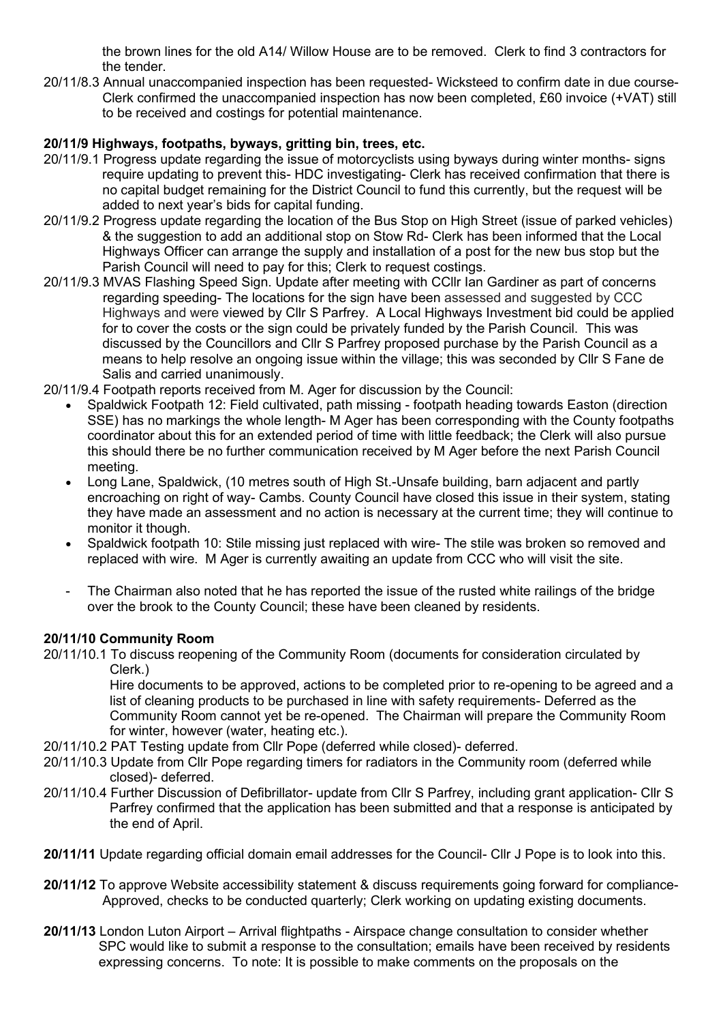the brown lines for the old A14/ Willow House are to be removed. Clerk to find 3 contractors for the tender.

20/11/8.3 Annual unaccompanied inspection has been requested- Wicksteed to confirm date in due course- Clerk confirmed the unaccompanied inspection has now been completed, £60 invoice (+VAT) still to be received and costings for potential maintenance.

# **20/11/9 Highways, footpaths, byways, gritting bin, trees, etc.**

- 20/11/9.1 Progress update regarding the issue of motorcyclists using byways during winter months- signs require updating to prevent this- HDC investigating- Clerk has received confirmation that there is no capital budget remaining for the District Council to fund this currently, but the request will be added to next year's bids for capital funding.
- 20/11/9.2 Progress update regarding the location of the Bus Stop on High Street (issue of parked vehicles) & the suggestion to add an additional stop on Stow Rd- Clerk has been informed that the Local Highways Officer can arrange the supply and installation of a post for the new bus stop but the Parish Council will need to pay for this; Clerk to request costings.
- 20/11/9.3 MVAS Flashing Speed Sign. Update after meeting with CCllr Ian Gardiner as part of concerns regarding speeding- The locations for the sign have been assessed and suggested by CCC Highways and were viewed by Cllr S Parfrey. A Local Highways Investment bid could be applied for to cover the costs or the sign could be privately funded by the Parish Council. This was discussed by the Councillors and Cllr S Parfrey proposed purchase by the Parish Council as a means to help resolve an ongoing issue within the village; this was seconded by Cllr S Fane de Salis and carried unanimously.

20/11/9.4 Footpath reports received from M. Ager for discussion by the Council:

- Spaldwick Footpath 12: Field cultivated, path missing footpath heading towards Easton (direction SSE) has no markings the whole length- M Ager has been corresponding with the County footpaths coordinator about this for an extended period of time with little feedback; the Clerk will also pursue this should there be no further communication received by M Ager before the next Parish Council meeting.
- Long Lane, Spaldwick, (10 metres south of High St.-Unsafe building, barn adjacent and partly encroaching on right of way- Cambs. County Council have closed this issue in their system, stating they have made an assessment and no action is necessary at the current time; they will continue to monitor it though.
- Spaldwick footpath 10: Stile missing just replaced with wire- The stile was broken so removed and replaced with wire. M Ager is currently awaiting an update from CCC who will visit the site.
- The Chairman also noted that he has reported the issue of the rusted white railings of the bridge over the brook to the County Council; these have been cleaned by residents.

## **20/11/10 Community Room**

20/11/10.1 To discuss reopening of the Community Room (documents for consideration circulated by Clerk.)

 Hire documents to be approved, actions to be completed prior to re-opening to be agreed and a list of cleaning products to be purchased in line with safety requirements- Deferred as the Community Room cannot yet be re-opened. The Chairman will prepare the Community Room for winter, however (water, heating etc.).

- 20/11/10.2 PAT Testing update from Cllr Pope (deferred while closed)- deferred.
- 20/11/10.3 Update from Cllr Pope regarding timers for radiators in the Community room (deferred while closed)- deferred.
- 20/11/10.4 Further Discussion of Defibrillator- update from Cllr S Parfrey, including grant application- Cllr S Parfrey confirmed that the application has been submitted and that a response is anticipated by the end of April.
- **20/11/11** Update regarding official domain email addresses for the Council- Cllr J Pope is to look into this.
- **20/11/12** To approve Website accessibility statement & discuss requirements going forward for compliance- Approved, checks to be conducted quarterly; Clerk working on updating existing documents.
- **20/11/13** London Luton Airport Arrival flightpaths Airspace change consultation to consider whether SPC would like to submit a response to the consultation; emails have been received by residents expressing concerns. To note: It is possible to make comments on the proposals on the